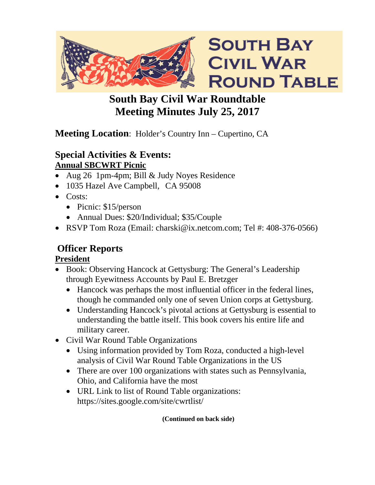

# **South Bay Civil War Roundtable Meeting Minutes July 25, 2017**

# **Meeting Location**: Holder's Country Inn – Cupertino, CA

### **Special Activities & Events: Annual SBCWRT Picnic**

- Aug 26 1pm-4pm; Bill & Judy Noyes Residence
- 1035 Hazel Ave Campbell, CA 95008
- Costs:
	- Picnic: \$15/person
	- Annual Dues: \$20/Individual; \$35/Couple
- RSVP Tom Roza (Email: charski@ix.netcom.com; Tel #: 408-376-0566)

# **Officer Reports**

# **President**

- Book: Observing Hancock at Gettysburg: The General's Leadership through Eyewitness Accounts by Paul E. Bretzger
	- Hancock was perhaps the most influential officer in the federal lines, though he commanded only one of seven Union corps at Gettysburg.
	- Understanding Hancock's pivotal actions at Gettysburg is essential to understanding the battle itself. This book covers his entire life and military career.
- Civil War Round Table Organizations
	- Using information provided by Tom Roza, conducted a high-level analysis of Civil War Round Table Organizations in the US
	- There are over 100 organizations with states such as Pennsylvania, Ohio, and California have the most
	- URL Link to list of Round Table organizations: https://sites.google.com/site/cwrtlist/

**(Continued on back side)**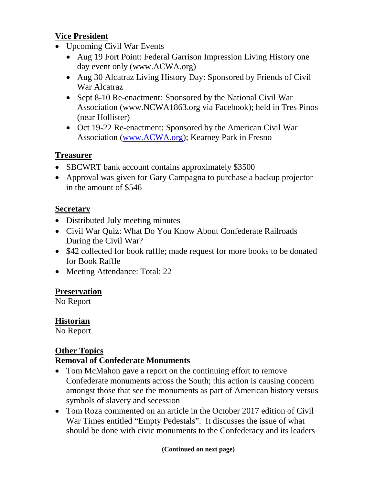#### **Vice President**

- Upcoming Civil War Events
	- Aug 19 Fort Point: Federal Garrison Impression Living History one day event only (www.ACWA.org)
	- Aug 30 Alcatraz Living History Day: Sponsored by Friends of Civil War Alcatraz
	- Sept 8-10 Re-enactment: Sponsored by the National Civil War Association (www.NCWA1863.org via Facebook); held in Tres Pinos (near Hollister)
	- Oct 19-22 Re-enactment: Sponsored by the American Civil War Association [\(www.ACWA.org\)](http://www.acwa.org/); Kearney Park in Fresno

#### **Treasurer**

- SBCWRT bank account contains approximately \$3500
- Approval was given for Gary Campagna to purchase a backup projector in the amount of \$546

#### **Secretary**

- Distributed July meeting minutes
- Civil War Quiz: What Do You Know About Confederate Railroads During the Civil War?
- \$42 collected for book raffle; made request for more books to be donated for Book Raffle
- Meeting Attendance: Total: 22

#### **Preservation**

No Report

### **Historian**

No Report

# **Other Topics**

#### **Removal of Confederate Monuments**

- Tom McMahon gave a report on the continuing effort to remove Confederate monuments across the South; this action is causing concern amongst those that see the monuments as part of American history versus symbols of slavery and secession
- Tom Roza commented on an article in the October 2017 edition of Civil War Times entitled "Empty Pedestals". It discusses the issue of what should be done with civic monuments to the Confederacy and its leaders